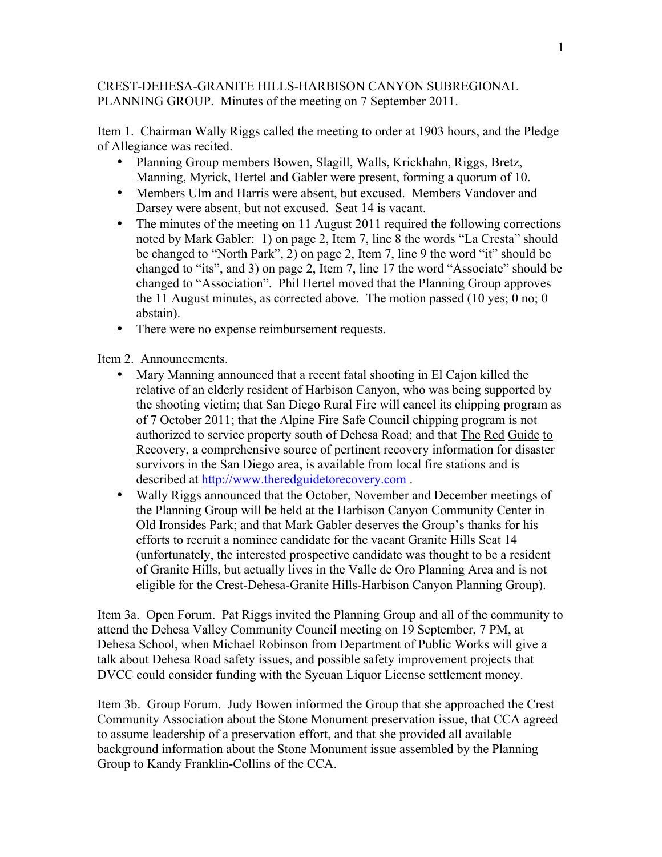## CREST-DEHESA-GRANITE HILLS-HARBISON CANYON SUBREGIONAL PLANNING GROUP. Minutes of the meeting on 7 September 2011.

Item 1. Chairman Wally Riggs called the meeting to order at 1903 hours, and the Pledge of Allegiance was recited.

- Planning Group members Bowen, Slagill, Walls, Krickhahn, Riggs, Bretz, Manning, Myrick, Hertel and Gabler were present, forming a quorum of 10.
- Members Ulm and Harris were absent, but excused. Members Vandover and Darsey were absent, but not excused. Seat 14 is vacant.
- The minutes of the meeting on 11 August 2011 required the following corrections noted by Mark Gabler: 1) on page 2, Item 7, line 8 the words "La Cresta" should be changed to "North Park", 2) on page 2, Item 7, line 9 the word "it" should be changed to "its", and 3) on page 2, Item 7, line 17 the word "Associate" should be changed to "Association". Phil Hertel moved that the Planning Group approves the 11 August minutes, as corrected above. The motion passed (10 yes; 0 no; 0 abstain).
- There were no expense reimbursement requests.

Item 2. Announcements.

- Mary Manning announced that a recent fatal shooting in El Cajon killed the relative of an elderly resident of Harbison Canyon, who was being supported by the shooting victim; that San Diego Rural Fire will cancel its chipping program as of 7 October 2011; that the Alpine Fire Safe Council chipping program is not authorized to service property south of Dehesa Road; and that The Red Guide to Recovery, a comprehensive source of pertinent recovery information for disaster survivors in the San Diego area, is available from local fire stations and is described at http://www.theredguidetorecovery.com .
- Wally Riggs announced that the October, November and December meetings of the Planning Group will be held at the Harbison Canyon Community Center in Old Ironsides Park; and that Mark Gabler deserves the Group's thanks for his efforts to recruit a nominee candidate for the vacant Granite Hills Seat 14 (unfortunately, the interested prospective candidate was thought to be a resident of Granite Hills, but actually lives in the Valle de Oro Planning Area and is not eligible for the Crest-Dehesa-Granite Hills-Harbison Canyon Planning Group).

Item 3a. Open Forum. Pat Riggs invited the Planning Group and all of the community to attend the Dehesa Valley Community Council meeting on 19 September, 7 PM, at Dehesa School, when Michael Robinson from Department of Public Works will give a talk about Dehesa Road safety issues, and possible safety improvement projects that DVCC could consider funding with the Sycuan Liquor License settlement money.

Item 3b. Group Forum. Judy Bowen informed the Group that she approached the Crest Community Association about the Stone Monument preservation issue, that CCA agreed to assume leadership of a preservation effort, and that she provided all available background information about the Stone Monument issue assembled by the Planning Group to Kandy Franklin-Collins of the CCA.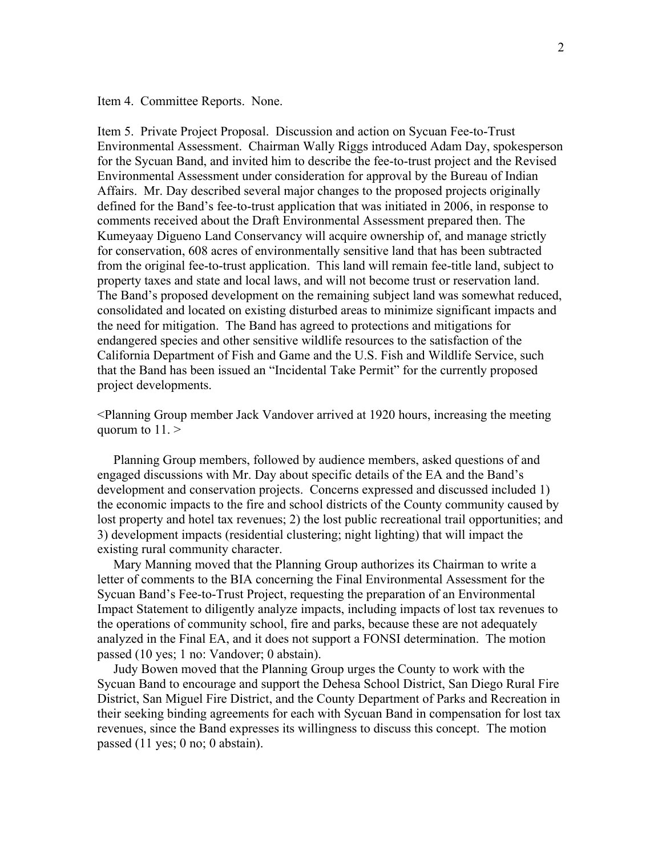Item 4. Committee Reports. None.

Item 5. Private Project Proposal. Discussion and action on Sycuan Fee-to-Trust Environmental Assessment. Chairman Wally Riggs introduced Adam Day, spokesperson for the Sycuan Band, and invited him to describe the fee-to-trust project and the Revised Environmental Assessment under consideration for approval by the Bureau of Indian Affairs. Mr. Day described several major changes to the proposed projects originally defined for the Band's fee-to-trust application that was initiated in 2006, in response to comments received about the Draft Environmental Assessment prepared then. The Kumeyaay Digueno Land Conservancy will acquire ownership of, and manage strictly for conservation, 608 acres of environmentally sensitive land that has been subtracted from the original fee-to-trust application. This land will remain fee-title land, subject to property taxes and state and local laws, and will not become trust or reservation land. The Band's proposed development on the remaining subject land was somewhat reduced, consolidated and located on existing disturbed areas to minimize significant impacts and the need for mitigation. The Band has agreed to protections and mitigations for endangered species and other sensitive wildlife resources to the satisfaction of the California Department of Fish and Game and the U.S. Fish and Wildlife Service, such that the Band has been issued an "Incidental Take Permit" for the currently proposed project developments.

<Planning Group member Jack Vandover arrived at 1920 hours, increasing the meeting quorum to 11. >

 Planning Group members, followed by audience members, asked questions of and engaged discussions with Mr. Day about specific details of the EA and the Band's development and conservation projects. Concerns expressed and discussed included 1) the economic impacts to the fire and school districts of the County community caused by lost property and hotel tax revenues; 2) the lost public recreational trail opportunities; and 3) development impacts (residential clustering; night lighting) that will impact the existing rural community character.

 Mary Manning moved that the Planning Group authorizes its Chairman to write a letter of comments to the BIA concerning the Final Environmental Assessment for the Sycuan Band's Fee-to-Trust Project, requesting the preparation of an Environmental Impact Statement to diligently analyze impacts, including impacts of lost tax revenues to the operations of community school, fire and parks, because these are not adequately analyzed in the Final EA, and it does not support a FONSI determination. The motion passed (10 yes; 1 no: Vandover; 0 abstain).

 Judy Bowen moved that the Planning Group urges the County to work with the Sycuan Band to encourage and support the Dehesa School District, San Diego Rural Fire District, San Miguel Fire District, and the County Department of Parks and Recreation in their seeking binding agreements for each with Sycuan Band in compensation for lost tax revenues, since the Band expresses its willingness to discuss this concept. The motion passed (11 yes; 0 no; 0 abstain).